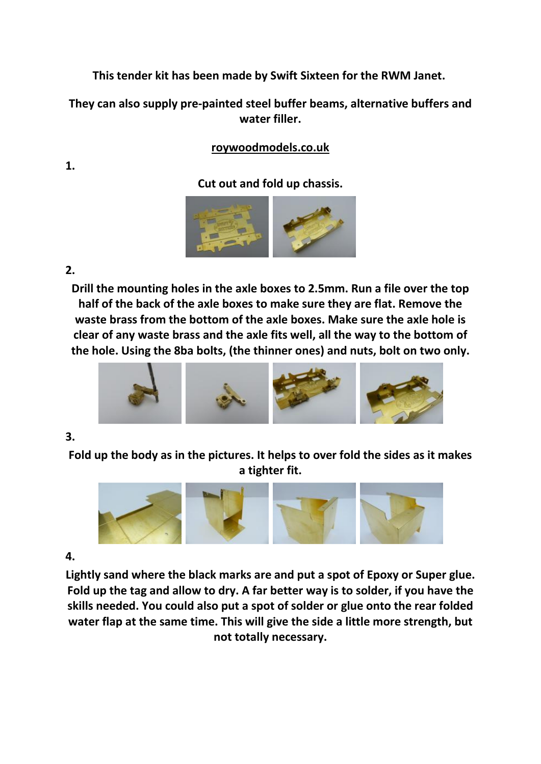**This tender kit has been made by Swift Sixteen for the RWM Janet.** 

**They can also supply pre-painted steel buffer beams, alternative buffers and water filler.** 

# **roywoodmodels.co.uk**

## **Cut out and fold up chassis.**



## **2.**

**Drill the mounting holes in the axle boxes to 2.5mm. Run a file over the top half of the back of the axle boxes to make sure they are flat. Remove the waste brass from the bottom of the axle boxes. Make sure the axle hole is clear of any waste brass and the axle fits well, all the way to the bottom of the hole. Using the 8ba bolts, (the thinner ones) and nuts, bolt on two only.**



### **3.**

**Fold up the body as in the pictures. It helps to over fold the sides as it makes a tighter fit.**



## **4.**

**Lightly sand where the black marks are and put a spot of Epoxy or Super glue. Fold up the tag and allow to dry. A far better way is to solder, if you have the skills needed. You could also put a spot of solder or glue onto the rear folded water flap at the same time. This will give the side a little more strength, but not totally necessary.**

**1.**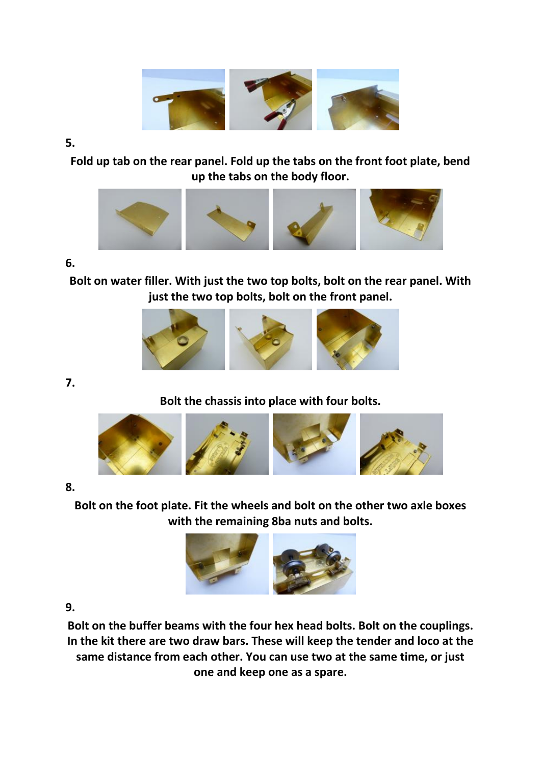

#### **5.**

**Fold up tab on the rear panel. Fold up the tabs on the front foot plate, bend up the tabs on the body floor.**



#### **6.**

**Bolt on water filler. With just the two top bolts, bolt on the rear panel. With just the two top bolts, bolt on the front panel.**



**7.** 

## **Bolt the chassis into place with four bolts.**



### **8.**

**Bolt on the foot plate. Fit the wheels and bolt on the other two axle boxes with the remaining 8ba nuts and bolts.**



### **9.**

**Bolt on the buffer beams with the four hex head bolts. Bolt on the couplings. In the kit there are two draw bars. These will keep the tender and loco at the same distance from each other. You can use two at the same time, or just one and keep one as a spare.**